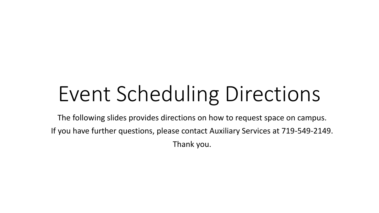The following slides provides directions on how to request space on campus. If you have further questions, please contact Auxiliary Services at 719-549-2149. Thank you.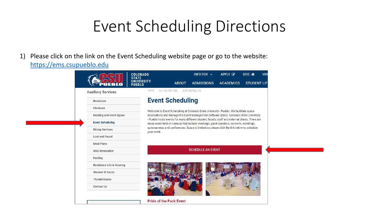1) Please click on the link on the Event Scheduling website page or go to the website: [https://ems.csupueblo.edu](https://ems.csupueblo.edu/)

|                                     | <b>COLORADO</b>                    |                                | INFO FOR $\sim$                                                                                                                                                                          | APPLY <b>Z</b>   | GIVE <b>if</b>     | <b>VISI</b> |
|-------------------------------------|------------------------------------|--------------------------------|------------------------------------------------------------------------------------------------------------------------------------------------------------------------------------------|------------------|--------------------|-------------|
|                                     | <b>UNIVERSITY</b><br><b>PUEBLO</b> | <b>ABOUT</b>                   | <b>ADMISSIONS</b>                                                                                                                                                                        | <b>ACADEMICS</b> | <b>STUDENT LIF</b> |             |
| <b>Auxiliary Services</b>           | Home                               | Auxiliary Services             | Event Scheduling                                                                                                                                                                         |                  |                    |             |
| <b>Bookstore</b>                    |                                    | <b>Event Scheduling</b>        |                                                                                                                                                                                          |                  |                    |             |
| Childcare                           |                                    |                                | Welcome to Event Scheduling at Colorado State University - Pueblo. We facilitate space                                                                                                   |                  |                    |             |
| <b>Meeting and Event Space</b>      |                                    |                                | reservations and manage the Event Management Software (EMS). Colorado State University                                                                                                   |                  |                    |             |
| <b>Event Scheduling</b>             |                                    |                                | - Pueblo hosts events for many different student, faculty, staff and external clients. There are<br>many event held on campus that include meetings, guest speakers, concerts, weddings, |                  |                    |             |
| <b>Dining Services</b>              | your event.                        |                                | quinceaneras and conferences. Space is limited so please click the link below to schedule                                                                                                |                  |                    |             |
| Lost and Found                      |                                    |                                |                                                                                                                                                                                          |                  |                    |             |
| <b>Meal Plans</b>                   |                                    |                                |                                                                                                                                                                                          |                  |                    |             |
| <b>OUC Renovation</b>               |                                    |                                | <b>SCHEDULE AN EVENT</b>                                                                                                                                                                 |                  |                    |             |
| Parking                             |                                    |                                |                                                                                                                                                                                          |                  |                    |             |
| <b>Residence Life &amp; Housing</b> |                                    |                                |                                                                                                                                                                                          |                  |                    |             |
| <b>Student ID Cards</b>             |                                    |                                |                                                                                                                                                                                          |                  |                    |             |
| <b>ThunderBucks</b>                 |                                    |                                |                                                                                                                                                                                          |                  |                    |             |
| <b>Contact Us</b>                   |                                    |                                |                                                                                                                                                                                          |                  |                    |             |
|                                     |                                    |                                |                                                                                                                                                                                          |                  |                    |             |
|                                     |                                    | <b>Pride of the Pack Event</b> |                                                                                                                                                                                          |                  |                    |             |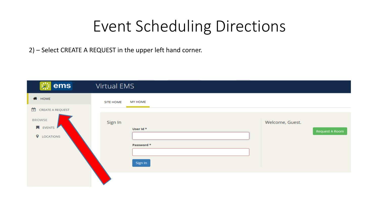2) – Select CREATE A REQUEST in the upper left hand corner.

| <b>※ ems</b>                                                                    | Virtual EMS                                                      |                       |
|---------------------------------------------------------------------------------|------------------------------------------------------------------|-----------------------|
| <b>A</b> HOME                                                                   | <b>MY HOME</b><br><b>SITE HOME</b>                               |                       |
| 凿<br>CREATE A REQUEST<br><b>BROWSE</b><br><b>N</b> EVENTS<br><b>Q</b> LOCATIONS | Sign In<br>Welcome, Guest.<br>User Id *<br>Password *<br>Sign In | <b>Request A Room</b> |
|                                                                                 |                                                                  |                       |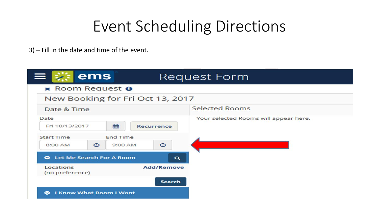3) – Fill in the date and time of the event.

| ems<br>$\frac{1}{2}$ $\frac{1}{2}$ $\frac{1}{2}$ $\frac{1}{2}$ $\frac{1}{2}$ | Request Form      |                                       |
|------------------------------------------------------------------------------|-------------------|---------------------------------------|
| x Room Request <b>O</b>                                                      |                   |                                       |
| New Booking for Fri Oct 13, 2017                                             |                   |                                       |
| Date & Time                                                                  |                   | <b>Selected Rooms</b>                 |
| Date<br>雦<br>Fri 10/13/2017                                                  | <b>Recurrence</b> | Your selected Rooms will appear here. |
| <b>Start Time</b><br><b>End Time</b><br>$\circ$<br>9:00 AM<br>8:00 AM        | $\odot$           |                                       |
| <b>Let Me Search For A Room</b><br>$\bullet$                                 | $\mathbf{\alpha}$ |                                       |
| Locations<br>(no preference)                                                 | <b>Add/Remove</b> |                                       |
|                                                                              | Search            |                                       |
| <b>I Know What Room I Want</b><br>$\bullet$                                  |                   |                                       |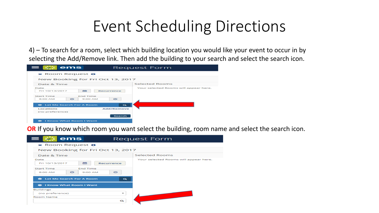4) – To search for a room, select which building location you would like your event to occur in by selecting the Add/Remove link. Then add the building to your search and select the search icon.

| $z = 5$                             | ems                                   |                          | Request Form                          |
|-------------------------------------|---------------------------------------|--------------------------|---------------------------------------|
|                                     | x Room Request <sup>o</sup>           |                          |                                       |
|                                     | New Booking for Fri Oct 13, 2017      |                          |                                       |
| Date & Time                         |                                       |                          | <b>Selected Rooms</b>                 |
| Date<br>Fri 10/13/2017              | 自由                                    | <b>Recurrence</b>        | Your selected Rooms will appear here. |
| <b>Start Time</b><br><b>8:00 AM</b> | <b>End Time</b><br>$\circ$<br>9:00 AM | $\circ$                  |                                       |
| $\bullet$                           | <b>Let Me Search For A Room</b>       | $\overline{\phantom{a}}$ |                                       |
| Locations<br>(no preference)        |                                       | <b>Add/Remove</b>        |                                       |
|                                     |                                       | Search                   |                                       |
| $\bullet$                           | <b>I Know What Room I Want</b>        |                          |                                       |

**OR** If you know which room you want select the building, room name and select the search icon.

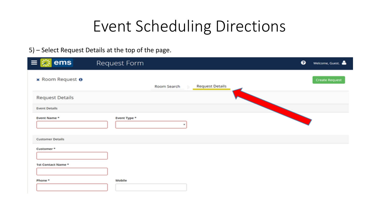### 5) – Select Request Details at the top of the page.

| ems<br>$\equiv$         | Request Form | $\bullet$                             | Welcome, Guest.       |
|-------------------------|--------------|---------------------------------------|-----------------------|
| x Room Request 0        |              | <b>Request Details</b><br>Room Search | <b>Create Request</b> |
| <b>Request Details</b>  |              |                                       |                       |
| <b>Event Details</b>    |              |                                       |                       |
| Event Name*             | Event Type * | w.                                    |                       |
| <b>Customer Details</b> |              |                                       |                       |
| Customer*               |              |                                       |                       |
| 1st Contact Name *      |              |                                       |                       |
| Phone <sup>*</sup>      | Mobile       |                                       |                       |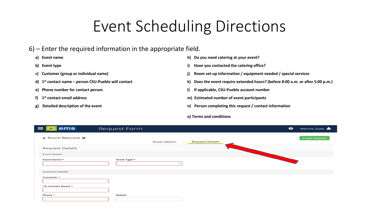#### 6) – Enter the required information in the appropriate field.

- 
- 
- 
- d) 1<sup>st</sup> contact name person CSU-Pueblo will contact
- 
- f) 1<sup>st</sup> contact email address
- 
- **a) Event name h) Do you need catering at your event?**
- **b) Event type i) Have you contacted the catering office?**
- **c) Customer (group or individual name) j) Room set-up information / equipment needed / special services**
	- **st contact name – person CSU-Pueblo will contact k) Does the event require extended hours? (before 8:00 a.m. or after 5:00 p.m.)**
- **e) Phone number for contact person l) If applicable, CSU-Pueblo account number**
	- **m)** Estimated number of event participants
- **g) Detailed description of the event n) Person completing this request / contact information**

#### **o) Terms and conditions**

| ems<br>$=$              | Request Form |             |                        | $\bullet$ | Welcome, Guest.       |
|-------------------------|--------------|-------------|------------------------|-----------|-----------------------|
| x Room Request <b>O</b> |              | Room Search | <b>Request Details</b> |           | <b>Create Request</b> |
| <b>Request Details</b>  |              |             |                        |           |                       |
| <b>Event Details</b>    |              |             |                        |           |                       |
| Event Name *            | Event Type * |             |                        |           |                       |
| <b>Customer Details</b> |              |             |                        |           |                       |
| Customer *              |              |             |                        |           |                       |
| 1st Contact Name *      |              |             |                        |           |                       |
| Phone *                 | Mobile       |             |                        |           |                       |